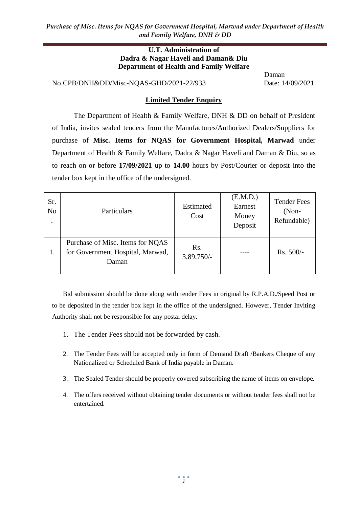#### **U.T. Administration of Dadra & Nagar Haveli and Daman& Diu Department of Health and Family Welfare**

No.CPB/DNH&DD/Misc-NQAS-GHD/2021-22/933 Date: 14/09/2021

Daman

#### **Limited Tender Enquiry**

The Department of Health & Family Welfare, DNH & DD on behalf of President of India, invites sealed tenders from the Manufactures/Authorized Dealers/Suppliers for purchase of **Misc. Items for NQAS for Government Hospital, Marwad** under Department of Health & Family Welfare, Dadra & Nagar Haveli and Daman & Diu, so as to reach on or before **17/09/2021** up to **14.00** hours by Post/Courier or deposit into the tender box kept in the office of the undersigned.

| Sr.<br>N <sub>o</sub> | Particulars                                                                   | Estimated<br>Cost   | (E.M.D.)<br>Earnest<br>Money<br>Deposit | <b>Tender Fees</b><br>$(Non-$<br>Refundable) |
|-----------------------|-------------------------------------------------------------------------------|---------------------|-----------------------------------------|----------------------------------------------|
| 1.                    | Purchase of Misc. Items for NQAS<br>for Government Hospital, Marwad,<br>Daman | Rs.<br>$3,89,750/-$ |                                         | $Rs. 500/-$                                  |

Bid submission should be done along with tender Fees in original by R.P.A.D./Speed Post or to be deposited in the tender box kept in the office of the undersigned. However, Tender Inviting Authority shall not be responsible for any postal delay.

- 1. The Tender Fees should not be forwarded by cash.
- 2. The Tender Fees will be accepted only in form of Demand Draft /Bankers Cheque of any Nationalized or Scheduled Bank of India payable in Daman.
- 3. The Sealed Tender should be properly covered subscribing the name of items on envelope.
- 4. The offers received without obtaining tender documents or without tender fees shall not be entertained.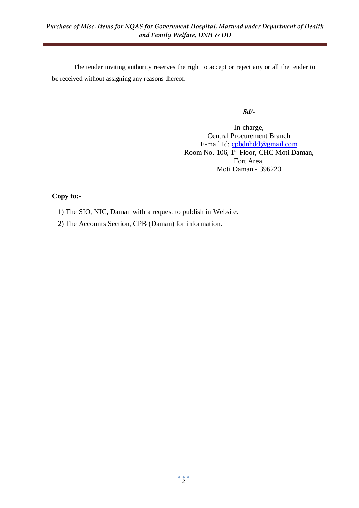The tender inviting authority reserves the right to accept or reject any or all the tender to be received without assigning any reasons thereof.

*Sd/-*

In-charge, Central Procurement Branch E-mail Id: [cpbdnhdd@gmail.com](mailto:cpbdnhdd@gmail.com) Room No. 106, 1<sup>st</sup> Floor, CHC Moti Daman, Fort Area, Moti Daman - 396220

# **Copy to:-**

- 1) The SIO, NIC, Daman with a request to publish in Website.
- 2) The Accounts Section, CPB (Daman) for information.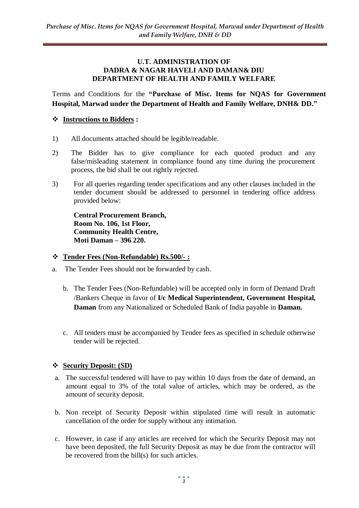#### **U.T. ADMINISTRATION OF DADRA & NAGAR HAVELI AND DAMAN& DIU DEPARTMENT OF HEALTH AND FAMILY WELFARE**

Terms and Conditions for the **"Purchase of Misc. Items for NQAS for Government Hospital, Marwad under the Department of Health and Family Welfare, DNH& DD."**

### **Instructions to Bidders :**

- 1) All documents attached should be legible/readable.
- 2) The Bidder has to give compliance for each quoted product and any false/misleading statement in compliance found any time during the procurement process, the bid shall be out rightly rejected.
- 3) For all queries regarding tender specifications and any other clauses included in the tender document should be addressed to personnel in tendering office address provided below:

**Central Procurement Branch, Room No. 106, 1st Floor, Community Health Centre, Moti Daman – 396 220.**

#### **Tender Fees (Non-Refundable) Rs.500/- :**

- a. The Tender Fees should not be forwarded by cash.
	- b. The Tender Fees (Non-Refundable) will be accepted only in form of Demand Draft /Bankers Cheque in favor of **I/c Medical Superintendent, Government Hospital, Daman** from any Nationalized or Scheduled Bank of India payable in **Daman.**
	- c. All tenders must be accompanied by Tender fees as specified in schedule otherwise tender will be rejected.

#### **Security Deposit: (SD)**

- a. The successful tendered will have to pay within 10 days from the date of demand, an amount equal to 3% of the total value of articles, which may be ordered, as the amount of security deposit.
- b. Non receipt of Security Deposit within stipulated time will result in automatic cancellation of the order for supply without any intimation.
- c. However, in case if any articles are received for which the Security Deposit may not have been deposited, the full Security Deposit as may be due from the contractor will be recovered from the bill(s) for such articles.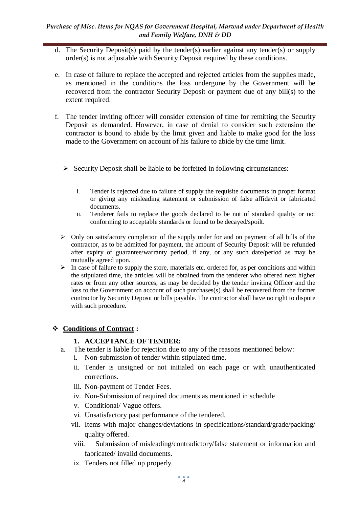- d. The Security Deposit(s) paid by the tender(s) earlier against any tender(s) or supply order(s) is not adjustable with Security Deposit required by these conditions.
- e. In case of failure to replace the accepted and rejected articles from the supplies made, as mentioned in the conditions the loss undergone by the Government will be recovered from the contractor Security Deposit or payment due of any bill(s) to the extent required.
- f. The tender inviting officer will consider extension of time for remitting the Security Deposit as demanded. However, in case of denial to consider such extension the contractor is bound to abide by the limit given and liable to make good for the loss made to the Government on account of his failure to abide by the time limit.
	- $\triangleright$  Security Deposit shall be liable to be forfeited in following circumstances:
		- i. Tender is rejected due to failure of supply the requisite documents in proper format or giving any misleading statement or submission of false affidavit or fabricated documents.
		- ii. Tenderer fails to replace the goods declared to be not of standard quality or not conforming to acceptable standards or found to be decayed/spoilt.
	- $\triangleright$  Only on satisfactory completion of the supply order for and on payment of all bills of the contractor, as to be admitted for payment, the amount of Security Deposit will be refunded after expiry of guarantee/warranty period, if any, or any such date/period as may be mutually agreed upon.
	- $\triangleright$  In case of failure to supply the store, materials etc. ordered for, as per conditions and within the stipulated time, the articles will be obtained from the tenderer who offered next higher rates or from any other sources, as may be decided by the tender inviting Officer and the loss to the Government on account of such purchases(s) shall be recovered from the former contractor by Security Deposit or bills payable. The contractor shall have no right to dispute with such procedure.

### **Conditions of Contract :**

### **1. ACCEPTANCE OF TENDER:**

- a. The tender is liable for rejection due to any of the reasons mentioned below:
	- i. Non-submission of tender within stipulated time.
	- ii. Tender is unsigned or not initialed on each page or with unauthenticated corrections.
	- iii. Non-payment of Tender Fees.
	- iv. Non-Submission of required documents as mentioned in schedule
	- v. Conditional/ Vague offers.
	- vi. Unsatisfactory past performance of the tendered.
	- vii. Items with major changes/deviations in specifications/standard/grade/packing/ quality offered.
	- viii. Submission of misleading/contradictory/false statement or information and fabricated/ invalid documents.
	- ix. Tenders not filled up properly.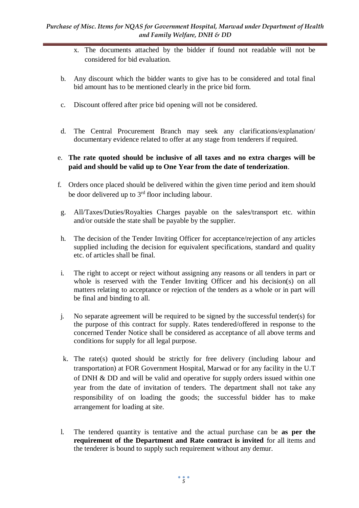- x. The documents attached by the bidder if found not readable will not be considered for bid evaluation.
- b. Any discount which the bidder wants to give has to be considered and total final bid amount has to be mentioned clearly in the price bid form.
- c. Discount offered after price bid opening will not be considered.
- d. The Central Procurement Branch may seek any clarifications/explanation/ documentary evidence related to offer at any stage from tenderers if required.
- e. **The rate quoted should be inclusive of all taxes and no extra charges will be paid and should be valid up to One Year from the date of tenderization**.
- f. Orders once placed should be delivered within the given time period and item should be door delivered up to  $3<sup>rd</sup>$  floor including labour.
- g. All/Taxes/Duties/Royalties Charges payable on the sales/transport etc. within and/or outside the state shall be payable by the supplier.
- h. The decision of the Tender Inviting Officer for acceptance/rejection of any articles supplied including the decision for equivalent specifications, standard and quality etc. of articles shall be final.
- i. The right to accept or reject without assigning any reasons or all tenders in part or whole is reserved with the Tender Inviting Officer and his decision(s) on all matters relating to acceptance or rejection of the tenders as a whole or in part will be final and binding to all.
- j. No separate agreement will be required to be signed by the successful tender(s) for the purpose of this contract for supply. Rates tendered/offered in response to the concerned Tender Notice shall be considered as acceptance of all above terms and conditions for supply for all legal purpose.
- k. The rate(s) quoted should be strictly for free delivery (including labour and transportation) at FOR Government Hospital, Marwad or for any facility in the U.T of DNH & DD and will be valid and operative for supply orders issued within one year from the date of invitation of tenders. The department shall not take any responsibility of on loading the goods; the successful bidder has to make arrangement for loading at site.
- l. The tendered quantity is tentative and the actual purchase can be **as per the requirement of the Department and Rate contract is invited** for all items and the tenderer is bound to supply such requirement without any demur.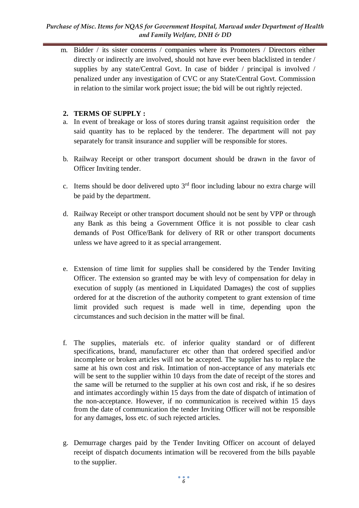#### *Purchase of Misc. Items for NQAS for Government Hospital, Marwad under Department of Health and Family Welfare, DNH & DD*

m. Bidder / its sister concerns / companies where its Promoters / Directors either directly or indirectly are involved, should not have ever been blacklisted in tender / supplies by any state/Central Govt. In case of bidder / principal is involved / penalized under any investigation of CVC or any State/Central Govt. Commission in relation to the similar work project issue; the bid will be out rightly rejected.

### **2. TERMS OF SUPPLY :**

- a. In event of breakage or loss of stores during transit against requisition order the said quantity has to be replaced by the tenderer. The department will not pay separately for transit insurance and supplier will be responsible for stores.
- b. Railway Receipt or other transport document should be drawn in the favor of Officer Inviting tender.
- c. Items should be door delivered upto  $3<sup>rd</sup>$  floor including labour no extra charge will be paid by the department.
- d. Railway Receipt or other transport document should not be sent by VPP or through any Bank as this being a Government Office it is not possible to clear cash demands of Post Office/Bank for delivery of RR or other transport documents unless we have agreed to it as special arrangement.
- e. Extension of time limit for supplies shall be considered by the Tender Inviting Officer. The extension so granted may be with levy of compensation for delay in execution of supply (as mentioned in Liquidated Damages) the cost of supplies ordered for at the discretion of the authority competent to grant extension of time limit provided such request is made well in time, depending upon the circumstances and such decision in the matter will be final.
- f. The supplies, materials etc. of inferior quality standard or of different specifications, brand, manufacturer etc other than that ordered specified and/or incomplete or broken articles will not be accepted. The supplier has to replace the same at his own cost and risk. Intimation of non-acceptance of any materials etc will be sent to the supplier within 10 days from the date of receipt of the stores and the same will be returned to the supplier at his own cost and risk, if he so desires and intimates accordingly within 15 days from the date of dispatch of intimation of the non-acceptance. However, if no communication is received within 15 days from the date of communication the tender Inviting Officer will not be responsible for any damages, loss etc. of such rejected articles.
- g. Demurrage charges paid by the Tender Inviting Officer on account of delayed receipt of dispatch documents intimation will be recovered from the bills payable to the supplier.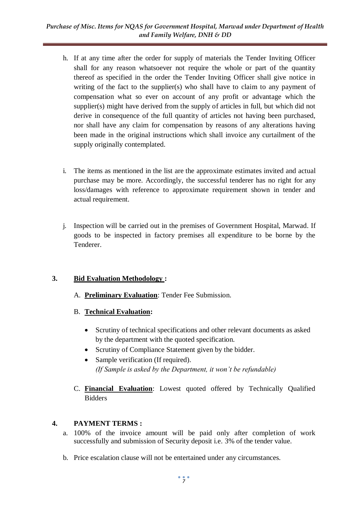- h. If at any time after the order for supply of materials the Tender Inviting Officer shall for any reason whatsoever not require the whole or part of the quantity thereof as specified in the order the Tender Inviting Officer shall give notice in writing of the fact to the supplier(s) who shall have to claim to any payment of compensation what so ever on account of any profit or advantage which the supplier(s) might have derived from the supply of articles in full, but which did not derive in consequence of the full quantity of articles not having been purchased, nor shall have any claim for compensation by reasons of any alterations having been made in the original instructions which shall invoice any curtailment of the supply originally contemplated.
- i. The items as mentioned in the list are the approximate estimates invited and actual purchase may be more. Accordingly, the successful tenderer has no right for any loss/damages with reference to approximate requirement shown in tender and actual requirement.
- j. Inspection will be carried out in the premises of Government Hospital, Marwad. If goods to be inspected in factory premises all expenditure to be borne by the Tenderer.

### **3. Bid Evaluation Methodology :**

- A. **Preliminary Evaluation**: Tender Fee Submission.
- B. **Technical Evaluation:** 
	- Scrutiny of technical specifications and other relevant documents as asked by the department with the quoted specification.
	- Scrutiny of Compliance Statement given by the bidder.
	- Sample verification (If required). *(If Sample is asked by the Department, it won't be refundable)*
- C. **Financial Evaluation**: Lowest quoted offered by Technically Qualified Bidders

## **4. PAYMENT TERMS :**

- a. 100% of the invoice amount will be paid only after completion of work successfully and submission of Security deposit i.e. 3% of the tender value.
- b. Price escalation clause will not be entertained under any circumstances.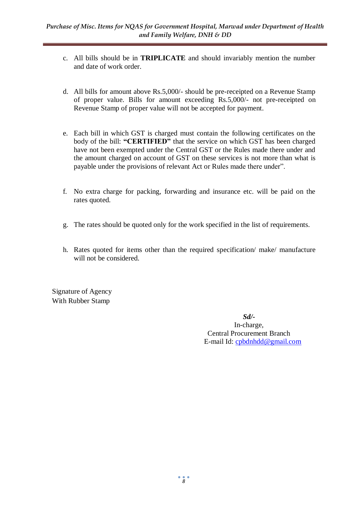- c. All bills should be in **TRIPLICATE** and should invariably mention the number and date of work order.
- d. All bills for amount above Rs.5,000/- should be pre-receipted on a Revenue Stamp of proper value. Bills for amount exceeding Rs.5,000/- not pre-receipted on Revenue Stamp of proper value will not be accepted for payment.
- e. Each bill in which GST is charged must contain the following certificates on the body of the bill: **"CERTIFIED"** that the service on which GST has been charged have not been exempted under the Central GST or the Rules made there under and the amount charged on account of GST on these services is not more than what is payable under the provisions of relevant Act or Rules made there under".
- f. No extra charge for packing, forwarding and insurance etc. will be paid on the rates quoted.
- g. The rates should be quoted only for the work specified in the list of requirements.
- h. Rates quoted for items other than the required specification/ make/ manufacture will not be considered.

Signature of Agency With Rubber Stamp

> *Sd/-* In-charge, Central Procurement Branch E-mail Id: [cpbdnhdd@gmail.com](mailto:cpbdnhdd@gmail.com)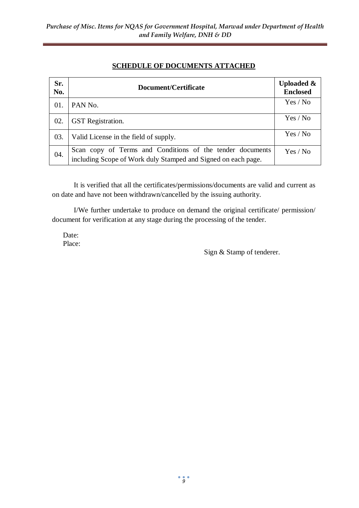### **SCHEDULE OF DOCUMENTS ATTACHED**

| Sr.<br>No. | Document/Certificate                                                                                                       | <b>Uploaded &amp;</b><br><b>Enclosed</b> |
|------------|----------------------------------------------------------------------------------------------------------------------------|------------------------------------------|
| 01.        | PAN No.                                                                                                                    | Yes / No                                 |
| 02.        | <b>GST</b> Registration.                                                                                                   | Yes / No                                 |
| 03.        | Valid License in the field of supply.                                                                                      | Yes / No                                 |
| 04.        | Scan copy of Terms and Conditions of the tender documents<br>including Scope of Work duly Stamped and Signed on each page. | Yes / No                                 |

It is verified that all the certificates/permissions/documents are valid and current as on date and have not been withdrawn/cancelled by the issuing authority.

I/We further undertake to produce on demand the original certificate/ permission/ document for verification at any stage during the processing of the tender.

Date: Place:

Sign & Stamp of tenderer.